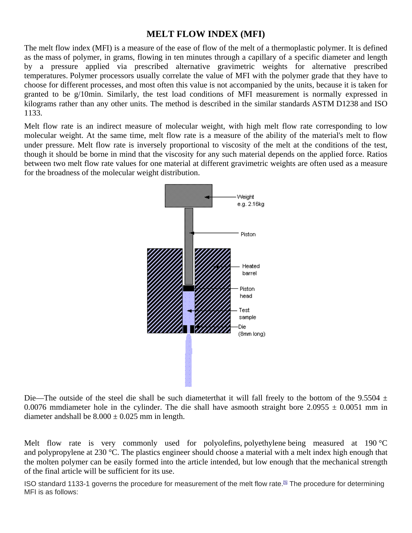# **MELT FLOW INDEX (MFI)**

The melt flow index (MFI) is a measure of the ease of flow of the melt of a thermoplastic polymer. It is defined as the mass of polymer, in grams, flowing in ten minutes through a capillary of a specific diameter and length by a pressure applied via prescribed alternative gravimetric weights for alternative prescribed temperatures. Polymer processors usually correlate the value of MFI with the polymer grade that they have to choose for different processes, and most often this value is not accompanied by the units, because it is taken for granted to be g/10min. Similarly, the test load conditions of MFI measurement is normally expressed in kilograms rather than any other units. The method is described in the similar standards ASTM D1238 and ISO 1133.

Melt flow rate is an indirect measure of molecular weight, with high melt flow rate corresponding to low molecular weight. At the same time, melt flow rate is a measure of the ability of the material's melt to flow under pressure. Melt flow rate is inversely proportional to viscosity of the melt at the conditions of the test, though it should be borne in mind that the viscosity for any such material depends on the applied force. Ratios between two melt flow rate values for one material at different gravimetric weights are often used as a measure for the broadness of the molecular weight distribution.



Die—The outside of the steel die shall be such diameterthat it will fall freely to the bottom of the 9.5504  $\pm$ 0.0076 mmdiameter hole in the cylinder. The die shall have asmooth straight bore  $2.0955 \pm 0.0051$  mm in diameter and shall be  $8.000 \pm 0.025$  mm in length.

Melt flow rate is very commonly used for polyolefins, polyethylene being measured at 190 °C and polypropylene at 230 °C. The plastics engineer should choose a material with a melt index high enough that the molten polymer can be easily formed into the article intended, but low enough that the mechanical strength of the final article will be sufficient for its use.

ISO standard 1133-1 governs the procedure for measurement of the melt flow rate.[5] The procedure for determining MFI is as follows: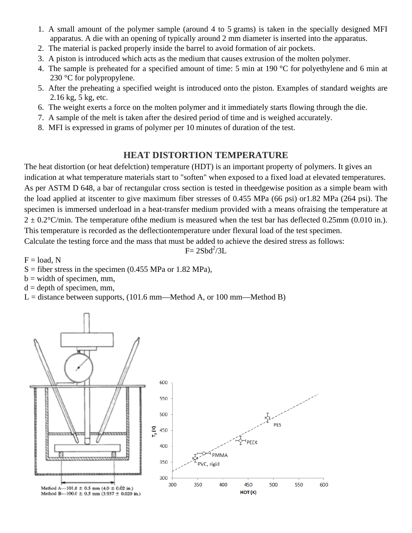- 1. A small amount of the polymer sample (around 4 to 5 grams) is taken in the specially designed MFI apparatus. A die with an opening of typically around 2 mm diameter is inserted into the apparatus.
- 2. The material is packed properly inside the barrel to avoid formation of air pockets.
- 3. A piston is introduced which acts as the medium that causes extrusion of the molten polymer.
- 4. The sample is preheated for a specified amount of time: 5 min at 190  $\degree$ C for polyethylene and 6 min at 230 °C for polypropylene.
- 5. After the preheating a specified weight is introduced onto the piston. Examples of standard weights are 2.16 kg, 5 kg, etc. e.
- 6. The weight exerts a force on the molten polymer and it immediately starts flowing through the die.
- 7. A sample of the melt is taken after the desired period of time and is weighed accurately.
- 8. MFI is expressed in grams of polymer per 10 minutes of duration of the test.

## **HEAT DISTORTION TEMPERATURE**

The heat distortion (or heat defelction) temperature (HDT) is an important property of polymers. It gives an indication at what temperature materials start to "soften" when exposed to a fixed load at elevated temperatures. As per ASTM D 648, a bar of rectangular cross section is tested in theedgewise position as a simple beam with the load applied at itscenter to give maximum fiber stresses of 0.455 MPa (66 psi) or1.82 MPa (264 psi). The<br>specimen is immersed underload in a heat-transfer medium provided with a means ofraising the temperature at specimen is immersed underload in a heat-transfer medium provided with a means ofraising the temperature a  $2 \pm 0.2$ °C/min. The temperature of the medium is measured when the test bar has deflected 0.25mm (0.010 in.). This temperature is recorded as the deflectiontemperature under flexural load of the test specimen.

Calculate the testing force and the mass that must be added to achieve the desired stress as follows:

 $F = 2Sbd^2/3L$ 

 $F =$ load, N

- $S =$  fiber stress in the specimen (0.455 MPa or 1.82 MPa),
- $b =$  width of specimen, mm,
- $d =$  depth of specimen, mm,
- $L =$  distance between supports, (101.6 mm—Method A, or 100 mm—Method B)

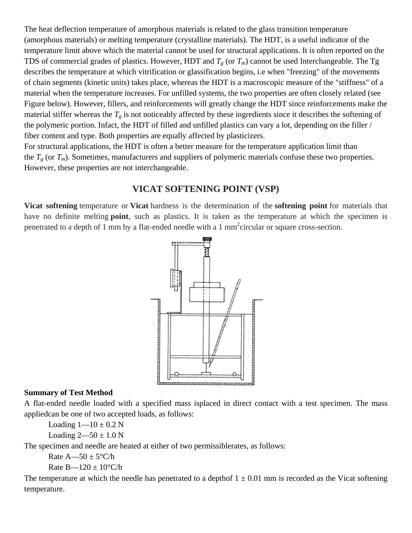The heat deflection temperature of amorphous materials is related to the glass transition temperature (amorphous materials) or melting temperature (crystalline materials). The HDT, is a useful indicator of the temperature limit above which the material cannot be used for structural applications. It is often reported on the TDS of commercial grades of plastics. However, HDT and  $T_g$  (or  $T_m$ ) cannot be used Interchangeable. The Tg describes the temperature at which vitrification or glassification begins, i.e when "freezing" of the movements of chain segments (kinetic units) takes place, whereas the HDT is a macroscopic measure of the "stiffness" of a material when the temperature increases. For unfilled systems, the two properties are often closely related (see Figure below). However, fillers, and reinforcements will greatly change the HDT since reinforcements make the material stiffer whereas the  $T_g$  is not noticeably affected by these ingredients since it describes the softening of the polymeric portion. Infact, the HDT of filled and unfilled plastics can vary a lot, depending on the filler / fiber content and type. Both properties are equally affected by plasticizers.

For structural applications, the HDT is often a better measure for the temperature application limit than the  $T_g$  (or  $T_m$ ). Sometimes, manufacturers and suppliers of polymeric materials confuse these two properties. However, these properties are not interchangeable.

# **VICAT SOFTENING POINT (VSP)**

**Vicat softening** temperature or **Vicat** hardness is the determination of the **softening point** for materials that have no definite melting **point**, such as plastics. It is taken as the temperature at which the specimen is penetrated to a depth of 1 mm by a flat-ended needle with a 1 mm<sup>2</sup> circular or square cross-section.



#### **Summary of Test Method**

A flat-ended needle loaded with a specified mass isplaced in direct contact with a test specimen. The mass appliedcan be one of two accepted loads, as follows:

Loading  $1-10 \pm 0.2$  N

Loading  $2-50 \pm 1.0$  N

The specimen and needle are heated at either of two permissiblerates, as follows:

Rate  $A$ —50  $\pm$  5°C/h Rate B—120  $\pm$  10<sup>o</sup>C/h

The temperature at which the needle has penetrated to a depthof  $1 \pm 0.01$  mm is recorded as the Vicat softening temperature.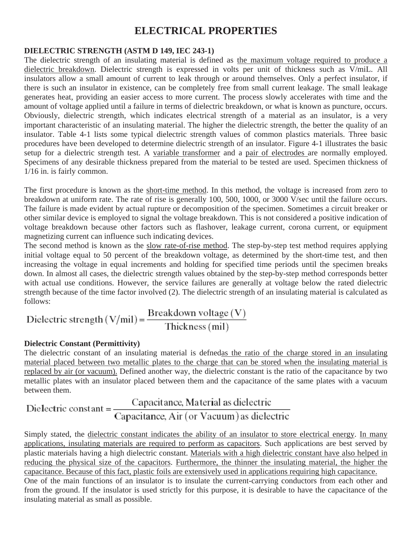# **ELECTRICAL PROPERTIES**

#### **DIELECTRIC STRENGTH (ASTM D 149, IEC 243-1)**

The dielectric strength of an insulating material is defined as the maximum voltage required to produce a dielectric breakdown. Dielectric strength is expressed in volts per unit of thickness such as V/miL. All insulators allow a small amount of current to leak through or around themselves. Only a perfect insulator, if there is such an insulator in existence, can be completely free from small current leakage. The small leakage generates heat, providing an easier access to more current. The process slowly accelerates with time and the amount of voltage applied until a failure in terms of dielectric breakdown, or what is known as puncture, occurs. Obviously, dielectric strength, which indicates electrical strength of a material as an insulator, is a very important characteristic of an insulating material. The higher the dielectric strength, the better the quality of an insulator. Table 4-1 lists some typical dielectric strength values of common plastics materials. Three basic procedures have been developed to determine dielectric strength of an insulator. Figure 4-1 illustrates the basic setup for a dielectric strength test. A variable transformer and a pair of electrodes are normally employed. Specimens of any desirable thickness prepared from the material to be tested are used. Specimen thickness of 1/16 in. is fairly common.

The first procedure is known as the short-time method. In this method, the voltage is increased from zero to breakdown at uniform rate. The rate of rise is generally 100, 500, 1000, or 3000 V/sec until the failure occurs. The failure is made evident by actual rupture or decomposition of the specimen. Sometimes a circuit breaker or other similar device is employed to signal the voltage breakdown. This is not considered a positive indication of voltage breakdown because other factors such as flashover, leakage current, corona current, or equipment magnetizing current can influence such indicating devices.

The second method is known as the slow rate-of-rise method. The step-by-step test method requires applying initial voltage equal to 50 percent of the breakdown voltage, as determined by the short-time test, and then increasing the voltage in equal increments and holding for specified time periods until the specimen breaks down. In almost all cases, the dielectric strength values obtained by the step-by-step method corresponds better with actual use conditions. However, the service failures are generally at voltage below the rated dielectric strength because of the time factor involved (2). The dielectric strength of an insulating material is calculated as follows:

Dielectric strength  $(V/\text{mil}) = \frac{\text{Breakdown voltage (V)}}{\text{Thickness (mil)}}$ 

#### **Dielectric Constant (Permittivity)**

The dielectric constant of an insulating material is defnedas the ratio of the charge stored in an insulating material placed between two metallic plates to the charge that can be stored when the insulating material is replaced by air (or vacuum). Defined another way, the dielectric constant is the ratio of the capacitance by two metallic plates with an insulator placed between them and the capacitance of the same plates with a vacuum between them.

$$
Dielectric\ constant = \frac{Capacitance, Material\ as\ dielectric}{Capacitance, Air (or Vacuum) as dielectric}
$$

Simply stated, the dielectric constant indicates the ability of an insulator to store electrical energy. In many applications, insulating materials are required to perform as capacitors. Such applications are best served by plastic materials having a high dielectric constant. Materials with a high dielectric constant have also helped in reducing the physical size of the capacitors. Furthermore, the thinner the insulating material, the higher the capacitance. Because of this fact, plastic foils are extensively used in applications requiring high capacitance. One of the main functions of an insulator is to insulate the current-carrying conductors from each other and from the ground. If the insulator is used strictly for this purpose, it is desirable to have the capacitance of the

insulating material as small as possible.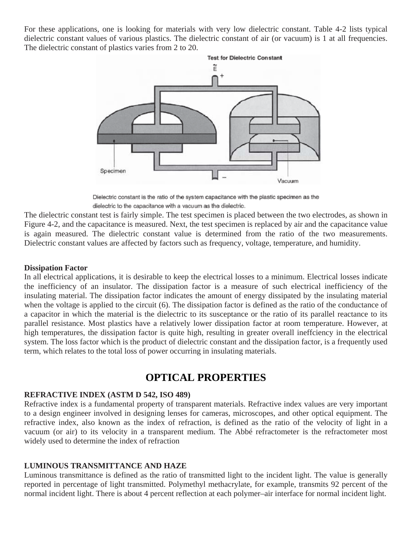For these applications, one is looking for materials with very low dielectric constant. Table 4-2 lists typical dielectric constant values of various plastics. The dielectric constant of air (or vacuum) is 1 at all frequencies. The dielectric constant of plastics varies from 2 to 20.



Dielectric constant is the ratio of the system capacitance with the plastic specimen as the dielectric to the capacitance with a vacuum as the dielectric.

The dielectric constant test is fairly simple. The test specimen is placed between the two electrodes, as shown in Figure 4-2, and the capacitance is measured. Next, the test specimen is replaced by air and the capacitance value is again measured. The dielectric constant value is determined from the ratio of the two measurements. Dielectric constant values are affected by factors such as frequency, voltage, temperature, and humidity.

#### **Dissipation Factor**

In all electrical applications, it is desirable to keep the electrical losses to a minimum. Electrical losses indicate the inefficiency of an insulator. The dissipation factor is a measure of such electrical inefficiency of the insulating material. The dissipation factor indicates the amount of energy dissipated by the insulating material when the voltage is applied to the circuit (6). The dissipation factor is defined as the ratio of the conductance of a capacitor in which the material is the dielectric to its susceptance or the ratio of its parallel reactance to its parallel resistance. Most plastics have a relatively lower dissipation factor at room temperature. However, at high temperatures, the dissipation factor is quite high, resulting in greater overall ineffciency in the electrical system. The loss factor which is the product of dielectric constant and the dissipation factor, is a frequently used term, which relates to the total loss of power occurring in insulating materials.

# **OPTICAL PROPERTIES**

#### **REFRACTIVE INDEX (ASTM D 542, ISO 489)**

Refractive index is a fundamental property of transparent materials. Refractive index values are very important to a design engineer involved in designing lenses for cameras, microscopes, and other optical equipment. The refractive index, also known as the index of refraction, is defined as the ratio of the velocity of light in a vacuum (or air) to its velocity in a transparent medium. The Abbé refractometer is the refractometer most widely used to determine the index of refraction

#### **LUMINOUS TRANSMITTANCE AND HAZE**

Luminous transmittance is defined as the ratio of transmitted light to the incident light. The value is generally reported in percentage of light transmitted. Polymethyl methacrylate, for example, transmits 92 percent of the normal incident light. There is about 4 percent reflection at each polymer–air interface for normal incident light.